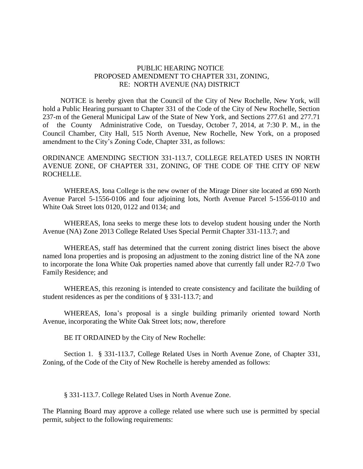## PUBLIC HEARING NOTICE PROPOSED AMENDMENT TO CHAPTER 331, ZONING, RE: NORTH AVENUE (NA) DISTRICT

 NOTICE is hereby given that the Council of the City of New Rochelle, New York, will hold a Public Hearing pursuant to Chapter 331 of the Code of the City of New Rochelle, Section 237-m of the General Municipal Law of the State of New York, and Sections 277.61 and 277.71 of the County Administrative Code, on Tuesday, October 7, 2014, at 7:30 P. M., in the Council Chamber, City Hall, 515 North Avenue, New Rochelle, New York, on a proposed amendment to the City's Zoning Code, Chapter 331, as follows:

ORDINANCE AMENDING SECTION 331-113.7, COLLEGE RELATED USES IN NORTH AVENUE ZONE, OF CHAPTER 331, ZONING, OF THE CODE OF THE CITY OF NEW ROCHELLE.

WHEREAS, Iona College is the new owner of the Mirage Diner site located at 690 North Avenue Parcel 5-1556-0106 and four adjoining lots, North Avenue Parcel 5-1556-0110 and White Oak Street lots 0120, 0122 and 0134; and

WHEREAS, Iona seeks to merge these lots to develop student housing under the North Avenue (NA) Zone 2013 College Related Uses Special Permit Chapter 331-113.7; and

WHEREAS, staff has determined that the current zoning district lines bisect the above named Iona properties and is proposing an adjustment to the zoning district line of the NA zone to incorporate the Iona White Oak properties named above that currently fall under R2-7.0 Two Family Residence; and

WHEREAS, this rezoning is intended to create consistency and facilitate the building of student residences as per the conditions of § 331-113.7; and

WHEREAS, Iona's proposal is a single building primarily oriented toward North Avenue, incorporating the White Oak Street lots; now, therefore

BE IT ORDAINED by the City of New Rochelle:

Section 1. § 331-113.7, College Related Uses in North Avenue Zone, of Chapter 331, Zoning, of the Code of the City of New Rochelle is hereby amended as follows:

§ 331-113.7. College Related Uses in North Avenue Zone.

The Planning Board may approve a college related use where such use is permitted by special permit, subject to the following requirements: